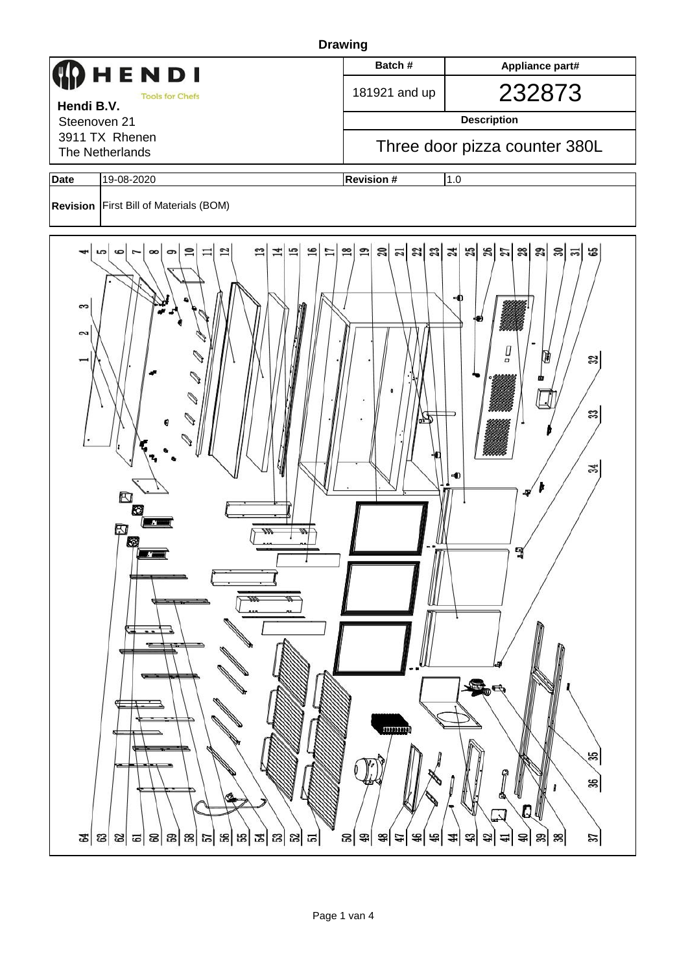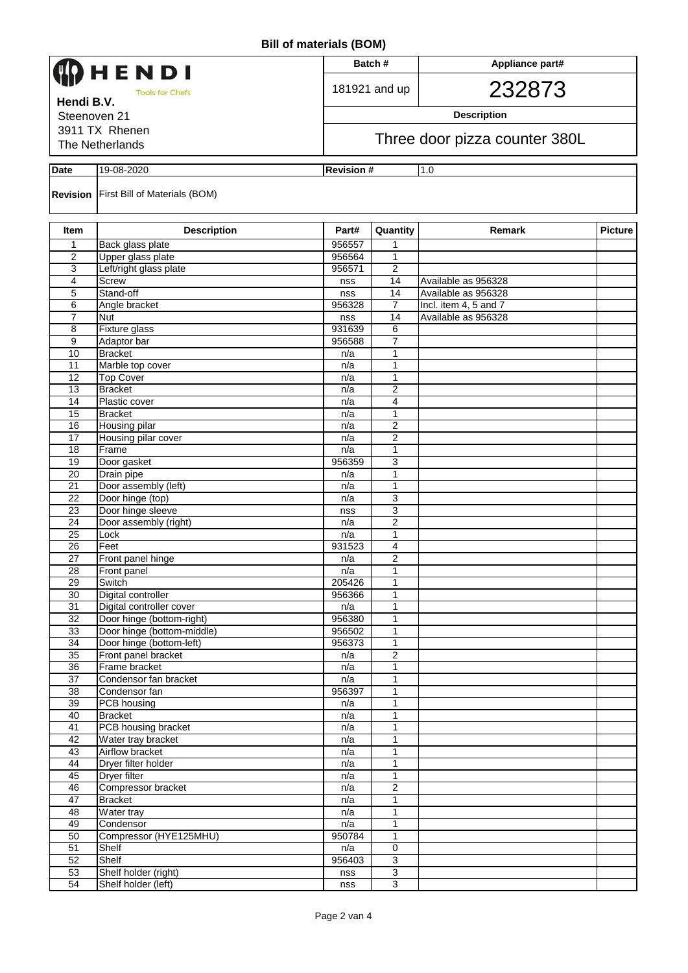| HENDI                      |                                               |               | Batch#                        | Appliance part#                              |                |  |  |  |  |
|----------------------------|-----------------------------------------------|---------------|-------------------------------|----------------------------------------------|----------------|--|--|--|--|
| <b>Tools for Chefs</b>     |                                               |               | 181921 and up                 | 232873                                       |                |  |  |  |  |
| Hendi B.V.<br>Steenoven 21 |                                               |               |                               | <b>Description</b>                           |                |  |  |  |  |
| 3911 TX Rhenen             |                                               |               |                               |                                              |                |  |  |  |  |
| The Netherlands            |                                               |               | Three door pizza counter 380L |                                              |                |  |  |  |  |
| Date                       | 19-08-2020<br><b>Revision #</b><br>1.0        |               |                               |                                              |                |  |  |  |  |
|                            | <b>Revision</b> First Bill of Materials (BOM) |               |                               |                                              |                |  |  |  |  |
| Item                       | <b>Description</b>                            | Part#         | Quantity                      | Remark                                       | <b>Picture</b> |  |  |  |  |
| 1                          | Back glass plate                              | 956557        | 1                             |                                              |                |  |  |  |  |
| 2                          | Upper glass plate                             | 956564        | 1                             |                                              |                |  |  |  |  |
| 3                          | Left/right glass plate                        | 956571        | $\mathbf{2}$                  |                                              |                |  |  |  |  |
| 4                          | Screw                                         | nss           | 14                            | Available as 956328                          |                |  |  |  |  |
| 5<br>6                     | Stand-off<br>Angle bracket                    | nss<br>956328 | 14<br>$\overline{7}$          | Available as 956328<br>Incl. item 4, 5 and 7 |                |  |  |  |  |
| $\overline{7}$             | Nut                                           | nss           | 14                            | Available as 956328                          |                |  |  |  |  |
| 8                          | Fixture glass                                 | 931639        | 6                             |                                              |                |  |  |  |  |
| 9                          | Adaptor bar                                   | 956588        | $\overline{7}$                |                                              |                |  |  |  |  |
| 10                         | <b>Bracket</b>                                | n/a           | 1                             |                                              |                |  |  |  |  |
| 11                         | Marble top cover                              | n/a           | 1                             |                                              |                |  |  |  |  |
| 12                         | <b>Top Cover</b>                              | n/a           | $\mathbf{1}$                  |                                              |                |  |  |  |  |
| $\overline{13}$            | <b>Bracket</b>                                | n/a           | $\overline{2}$                |                                              |                |  |  |  |  |
| 14                         | Plastic cover                                 | n/a           | 4                             |                                              |                |  |  |  |  |
| 15                         | <b>Bracket</b>                                | n/a           | 1                             |                                              |                |  |  |  |  |
| 16                         | Housing pilar                                 | n/a           | $\overline{2}$                |                                              |                |  |  |  |  |
| 17<br>18                   | Housing pilar cover<br>Frame                  | n/a<br>n/a    | $\overline{2}$<br>1           |                                              |                |  |  |  |  |
| 19                         | Door gasket                                   | 956359        | 3                             |                                              |                |  |  |  |  |
| 20                         | Drain pipe                                    | n/a           | 1                             |                                              |                |  |  |  |  |
| 21                         | Door assembly (left)                          | n/a           | 1                             |                                              |                |  |  |  |  |
| 22                         | Door hinge (top)                              | n/a           | 3                             |                                              |                |  |  |  |  |
| 23                         | Door hinge sleeve                             | nss           | $\overline{3}$                |                                              |                |  |  |  |  |
| 24                         | Door assembly (right)                         | n/a           | $\overline{\mathbf{c}}$       |                                              |                |  |  |  |  |
| 25                         | Lock                                          | n/a           | 1                             |                                              |                |  |  |  |  |
| 26                         | Feet                                          | 931523        | 4                             |                                              |                |  |  |  |  |
| $\overline{27}$            | Front panel hinge                             | n/a           | $\overline{2}$                |                                              |                |  |  |  |  |
| 28<br>29                   | Front panel<br>Switch                         | n/a<br>205426 | 1<br>$\mathbf{1}$             |                                              |                |  |  |  |  |
| 30                         | Digital controller                            | 956366        | 1                             |                                              |                |  |  |  |  |
| 31                         | Digital controller cover                      | n/a           | $\mathbf 1$                   |                                              |                |  |  |  |  |
| 32                         | Door hinge (bottom-right)                     | 956380        | 1                             |                                              |                |  |  |  |  |
| 33                         | Door hinge (bottom-middle)                    | 956502        | 1                             |                                              |                |  |  |  |  |
| 34                         | Door hinge (bottom-left)                      | 956373        | 1                             |                                              |                |  |  |  |  |
| 35                         | Front panel bracket                           | n/a           | $\overline{2}$                |                                              |                |  |  |  |  |
| 36                         | Frame bracket                                 | n/a           | 1                             |                                              |                |  |  |  |  |
| 37                         | Condensor fan bracket                         | n/a           | 1                             |                                              |                |  |  |  |  |
| 38                         | Condensor fan                                 | 956397        | 1                             |                                              |                |  |  |  |  |
| 39<br>40                   | PCB housing<br><b>Bracket</b>                 | n/a<br>n/a    | $\mathbf{1}$<br>1             |                                              |                |  |  |  |  |
| 41                         | PCB housing bracket                           | n/a           | 1                             |                                              |                |  |  |  |  |
| 42                         | Water tray bracket                            | n/a           | 1                             |                                              |                |  |  |  |  |
| 43                         | Airflow bracket                               | n/a           | 1                             |                                              |                |  |  |  |  |
| 44                         | Dryer filter holder                           | n/a           | 1                             |                                              |                |  |  |  |  |
| 45                         | Dryer filter                                  | n/a           | $\mathbf{1}$                  |                                              |                |  |  |  |  |
| 46                         | Compressor bracket                            | n/a           | $\overline{2}$                |                                              |                |  |  |  |  |
| 47                         | <b>Bracket</b>                                | n/a           | 1                             |                                              |                |  |  |  |  |
| 48                         | Water tray                                    | n/a           | 1                             |                                              |                |  |  |  |  |
| 49                         | Condensor                                     | n/a           | 1                             |                                              |                |  |  |  |  |
| 50                         | Compressor (HYE125MHU)                        | 950784        | 1                             |                                              |                |  |  |  |  |
| $\overline{51}$<br>52      | Shelf<br>Shelf                                | n/a<br>956403 | $\overline{0}$<br>3           |                                              |                |  |  |  |  |
| 53                         | Shelf holder (right)                          | nss           | $\overline{3}$                |                                              |                |  |  |  |  |
| 54                         | Shelf holder (left)                           | nss           | $\overline{3}$                |                                              |                |  |  |  |  |
|                            |                                               |               |                               |                                              |                |  |  |  |  |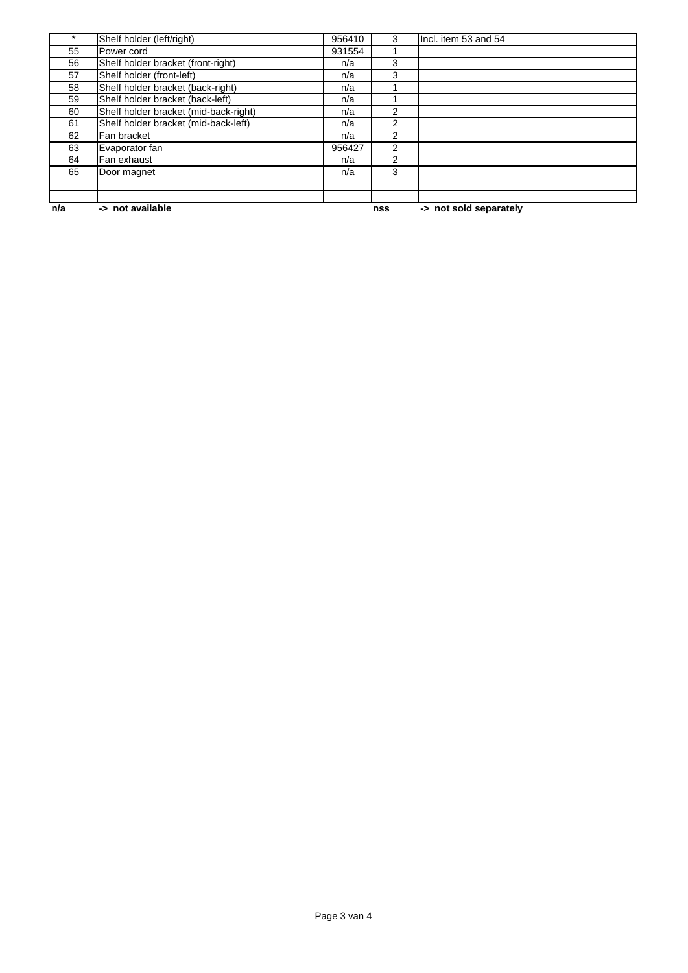| n/a | -> not available                      |        | nss            | -> not sold separately |  |
|-----|---------------------------------------|--------|----------------|------------------------|--|
|     |                                       |        |                |                        |  |
|     |                                       |        |                |                        |  |
| 65  | Door magnet                           | n/a    | 3              |                        |  |
| 64  | Fan exhaust                           | n/a    | $\overline{c}$ |                        |  |
| 63  | Evaporator fan                        | 956427 | $\overline{2}$ |                        |  |
| 62  | Fan bracket                           | n/a    | $\overline{2}$ |                        |  |
| 61  | Shelf holder bracket (mid-back-left)  | n/a    | $\overline{2}$ |                        |  |
| 60  | Shelf holder bracket (mid-back-right) | n/a    | $\overline{c}$ |                        |  |
| 59  | Shelf holder bracket (back-left)      | n/a    |                |                        |  |
| 58  | Shelf holder bracket (back-right)     | n/a    |                |                        |  |
| 57  | Shelf holder (front-left)             | n/a    | 3              |                        |  |
| 56  | Shelf holder bracket (front-right)    | n/a    | 3              |                        |  |
| 55  | Power cord                            | 931554 |                |                        |  |
|     | Shelf holder (left/right)             | 956410 | 3              | Incl. item 53 and 54   |  |